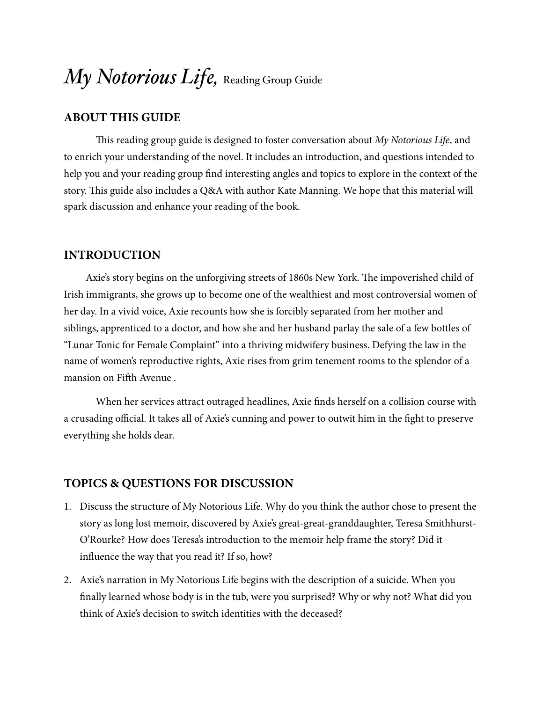# *My Notorious Life,* Reading Group Guide

#### **ABOUT THIS GUIDE**

This reading group guide is designed to foster conversation about *My Notorious Life*, and to enrich your understanding of the novel. It includes an introduction, and questions intended to help you and your reading group find interesting angles and topics to explore in the context of the story. This guide also includes a Q&A with author Kate Manning. We hope that this material will spark discussion and enhance your reading of the book.

#### **INTRODUCTION**

Axie's story begins on the unforgiving streets of 1860s New York. The impoverished child of Irish immigrants, she grows up to become one of the wealthiest and most controversial women of her day. In a vivid voice, Axie recounts how she is forcibly separated from her mother and siblings, apprenticed to a doctor, and how she and her husband parlay the sale of a few bottles of "Lunar Tonic for Female Complaint" into a thriving midwifery business. Defying the law in the name of women's reproductive rights, Axie rises from grim tenement rooms to the splendor of a mansion on Fih Avenue .

When her services attract outraged headlines, Axie finds herself on a collision course with a crusading official. It takes all of Axie's cunning and power to outwit him in the fight to preserve everything she holds dear.

#### **TOPICS & QUESTIONS FOR DISCUSSION**

- 1. Discuss the structure of My Notorious Life. Why do you think the author chose to present the story as long lost memoir, discovered by Axie's great-great-granddaughter, Teresa Smithhurst-O'Rourke? How does Teresa's introduction to the memoir help frame the story? Did it influence the way that you read it? If so, how?
- 2. Axie's narration in My Notorious Life begins with the description of a suicide. When you finally learned whose body is in the tub, were you surprised? Why or why not? What did you think of Axie's decision to switch identities with the deceased?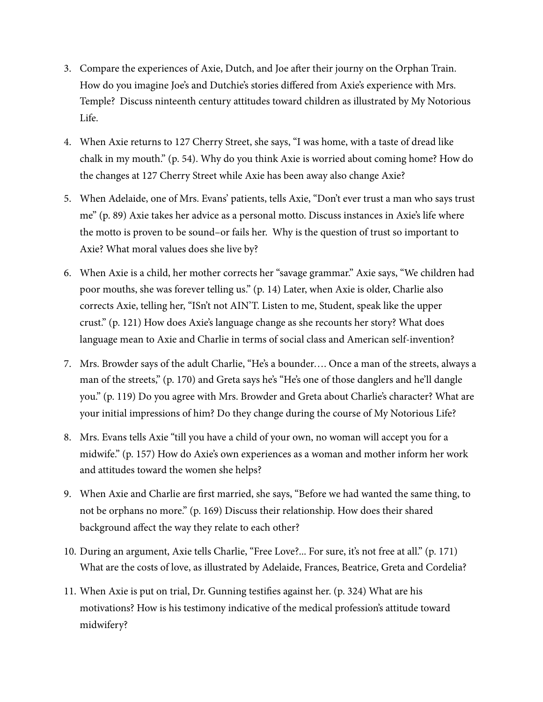- 3. Compare the experiences of Axie, Dutch, and Joe after their journy on the Orphan Train. How do you imagine Joe's and Dutchie's stories differed from Axie's experience with Mrs. Temple? Discuss ninteenth century attitudes toward children as illustrated by My Notorious Life.
- 4. When Axie returns to 127 Cherry Street, she says, "I was home, with a taste of dread like chalk in my mouth." (p. 54). Why do you think Axie is worried about coming home? How do the changes at 127 Cherry Street while Axie has been away also change Axie?
- 5. When Adelaide, one of Mrs. Evans' patients, tells Axie, "Don't ever trust a man who says trust me" (p. 89) Axie takes her advice as a personal motto. Discuss instances in Axie's life where the motto is proven to be sound–or fails her. Why is the question of trust so important to Axie? What moral values does she live by?
- 6. When Axie is a child, her mother corrects her "savage grammar." Axie says, "We children had poor mouths, she was forever telling us." (p. 14) Later, when Axie is older, Charlie also corrects Axie, telling her, "ISn't not AIN'T. Listen to me, Student, speak like the upper crust." (p. 121) How does Axie's language change as she recounts her story? What does language mean to Axie and Charlie in terms of social class and American self-invention?
- 7. Mrs. Browder says of the adult Charlie, "He's a bounder…. Once a man of the streets, always a man of the streets," (p. 170) and Greta says he's "He's one of those danglers and he'll dangle you." (p. 119) Do you agree with Mrs. Browder and Greta about Charlie's character? What are your initial impressions of him? Do they change during the course of My Notorious Life?
- 8. Mrs. Evans tells Axie "till you have a child of your own, no woman will accept you for a midwife." (p. 157) How do Axie's own experiences as a woman and mother inform her work and attitudes toward the women she helps?
- 9. When Axie and Charlie are first married, she says, "Before we had wanted the same thing, to not be orphans no more." (p. 169) Discuss their relationship. How does their shared background affect the way they relate to each other?
- 10. During an argument, Axie tells Charlie, "Free Love?... For sure, it's not free at all." (p. 171) What are the costs of love, as illustrated by Adelaide, Frances, Beatrice, Greta and Cordelia?
- 11. When Axie is put on trial, Dr. Gunning testifies against her. (p. 324) What are his motivations? How is his testimony indicative of the medical profession's attitude toward midwifery?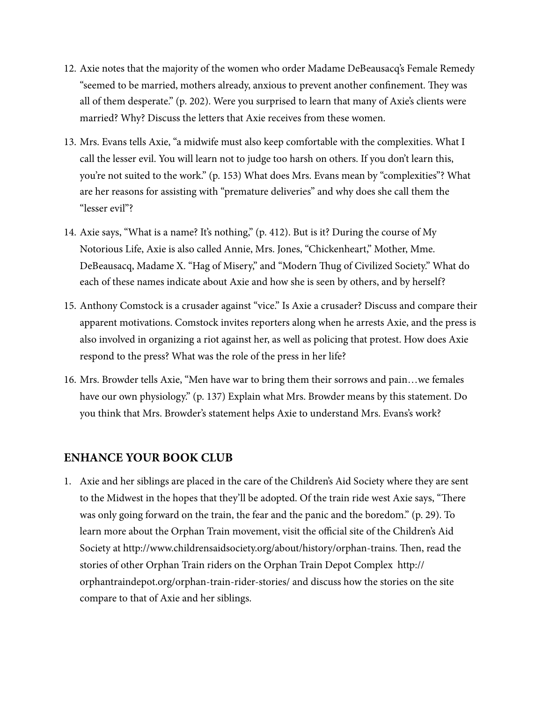- 12. Axie notes that the majority of the women who order Madame DeBeausacq's Female Remedy "seemed to be married, mothers already, anxious to prevent another confinement. They was all of them desperate." (p. 202). Were you surprised to learn that many of Axie's clients were married? Why? Discuss the letters that Axie receives from these women.
- 13. Mrs. Evans tells Axie, "a midwife must also keep comfortable with the complexities. What I call the lesser evil. You will learn not to judge too harsh on others. If you don't learn this, you're not suited to the work." (p. 153) What does Mrs. Evans mean by "complexities"? What are her reasons for assisting with "premature deliveries" and why does she call them the "lesser evil"?
- 14. Axie says, "What is a name? It's nothing," (p. 412). But is it? During the course of My Notorious Life, Axie is also called Annie, Mrs. Jones, "Chickenheart," Mother, Mme. DeBeausacq, Madame X. "Hag of Misery," and "Modern Thug of Civilized Society." What do each of these names indicate about Axie and how she is seen by others, and by herself?
- 15. Anthony Comstock is a crusader against "vice." Is Axie a crusader? Discuss and compare their apparent motivations. Comstock invites reporters along when he arrests Axie, and the press is also involved in organizing a riot against her, as well as policing that protest. How does Axie respond to the press? What was the role of the press in her life?
- 16. Mrs. Browder tells Axie, "Men have war to bring them their sorrows and pain…we females have our own physiology." (p. 137) Explain what Mrs. Browder means by this statement. Do you think that Mrs. Browder's statement helps Axie to understand Mrs. Evans's work?

#### **ENHANCE YOUR BOOK CLUB**

1. Axie and her siblings are placed in the care of the Children's Aid Society where they are sent to the Midwest in the hopes that they'll be adopted. Of the train ride west Axie says, "There was only going forward on the train, the fear and the panic and the boredom." (p. 29). To learn more about the Orphan Train movement, visit the official site of the Children's Aid Society at [http://www.childrensaidsociety.org/about/history/orphan-trains.](http://www.childrensaidsociety.org/about/history/orphan-trains) Then, read the stories of other Orphan Train riders on the Orphan Train Depot Complex [http://](http://orphantraindepot.org/orphan-train-rider-stories/) [orphantraindepot.org/orphan-train-rider-stories/](http://orphantraindepot.org/orphan-train-rider-stories/) and discuss how the stories on the site compare to that of Axie and her siblings.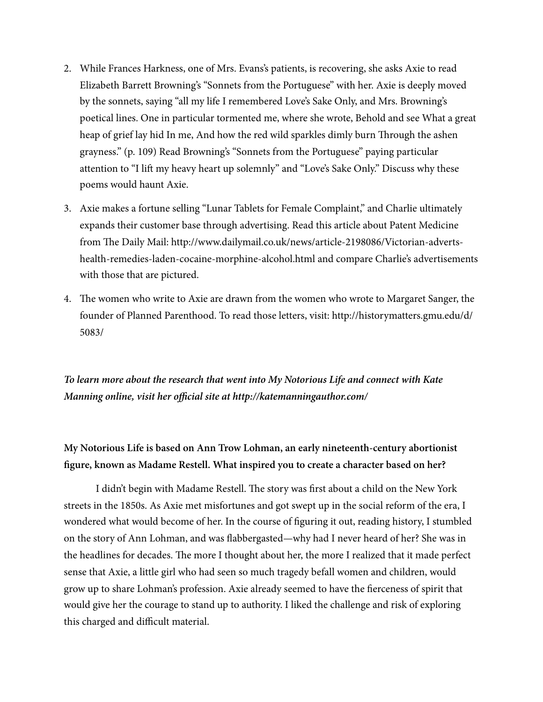- 2. While Frances Harkness, one of Mrs. Evans's patients, is recovering, she asks Axie to read Elizabeth Barrett Browning's "Sonnets from the Portuguese" with her. Axie is deeply moved by the sonnets, saying "all my life I remembered Love's Sake Only, and Mrs. Browning's poetical lines. One in particular tormented me, where she wrote, Behold and see What a great heap of grief lay hid In me, And how the red wild sparkles dimly burn Through the ashen grayness." (p. 109) Read Browning's "Sonnets from the Portuguese" paying particular attention to "I lift my heavy heart up solemnly" and "Love's Sake Only." Discuss why these poems would haunt Axie.
- 3. Axie makes a fortune selling "Lunar Tablets for Female Complaint," and Charlie ultimately expands their customer base through advertising. Read this article about Patent Medicine from The Daily Mail: [http://www.dailymail.co.uk/news/article-2198086/Victorian-adverts](http://www.dailymail.co.uk/news/article-2198086/Victorian-adverts-health-remedies-laden-cocaine-morphine-alcohol.html)[health-remedies-laden-cocaine-morphine-alcohol.html](http://www.dailymail.co.uk/news/article-2198086/Victorian-adverts-health-remedies-laden-cocaine-morphine-alcohol.html) and compare Charlie's advertisements [with those that are pictured.](http://www.dailymail.co.uk/news/article-2198086/Victorian-adverts-health-remedies-laden-cocaine-morphine-alcohol.html)
- 4. The women who write to Axie are drawn from the women who wrote to Margaret Sanger, the founder of Planned Parenthood. To read those letters, visit: [http://historymatters.gmu.edu/d/](http://historymatters.gmu.edu/d/5083/) [5083/](http://historymatters.gmu.edu/d/5083/)

*To learn more about the research that went into My Notorious Life and connect with Kate Manning online, visit her o***ffi***cial site at<http://katemanningauthor.com/>*

# **My Notorious Life is based on Ann Trow Lohman, an early nineteenth-century abortionist !gure, known as Madame Restell. What inspired you to create a character based on her?**

I didn't begin with Madame Restell. The story was first about a child on the New York streets in the 1850s. As Axie met misfortunes and got swept up in the social reform of the era, I wondered what would become of her. In the course of figuring it out, reading history, I stumbled on the story of Ann Lohman, and was flabbergasted—why had I never heard of her? She was in the headlines for decades. The more I thought about her, the more I realized that it made perfect sense that Axie, a little girl who had seen so much tragedy befall women and children, would grow up to share Lohman's profession. Axie already seemed to have the fierceness of spirit that would give her the courage to stand up to authority. I liked the challenge and risk of exploring this charged and difficult material.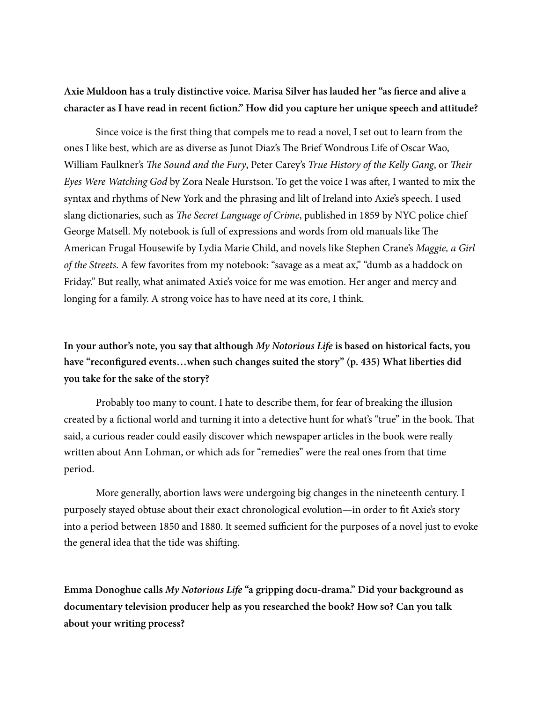#### **Axie Muldoon has a truly distinctive voice. Marisa Silver has lauded her "as !erce and alive a character as I have read in recent !ction." How did you capture her unique speech and attitude?**

Since voice is the first thing that compels me to read a novel, I set out to learn from the ones I like best, which are as diverse as Junot Diaz's The Brief Wondrous Life of Oscar Wao, William Faulkner's *The Sound and the Fury*, Peter Carey's *True History of the Kelly Gang*, or *Their Eyes Were Watching God* by Zora Neale Hurstson. To get the voice I was after, I wanted to mix the syntax and rhythms of New York and the phrasing and lilt of Ireland into Axie's speech. I used slang dictionaries, such as *The Secret Language of Crime*, published in 1859 by NYC police chief George Matsell. My notebook is full of expressions and words from old manuals like The American Frugal Housewife by Lydia Marie Child, and novels like Stephen Crane's *Maggie, a Girl of the Streets*. A few favorites from my notebook: "savage as a meat ax," "dumb as a haddock on Friday." But really, what animated Axie's voice for me was emotion. Her anger and mercy and longing for a family. A strong voice has to have need at its core, I think.

**In your author's note, you say that although** *My Notorious Life* **is based on historical facts, you**  have "reconfigured events...when such changes suited the story" (p. 435) What liberties did **you take for the sake of the story?** 

 Probably too many to count. I hate to describe them, for fear of breaking the illusion created by a fictional world and turning it into a detective hunt for what's "true" in the book. That said, a curious reader could easily discover which newspaper articles in the book were really written about Ann Lohman, or which ads for "remedies" were the real ones from that time period.

 More generally, abortion laws were undergoing big changes in the nineteenth century. I purposely stayed obtuse about their exact chronological evolution—in order to fit Axie's story into a period between 1850 and 1880. It seemed sufficient for the purposes of a novel just to evoke the general idea that the tide was shifting.

**Emma Donoghue calls** *My Notorious Life* **"a gripping docu-drama." Did your background as documentary television producer help as you researched the book? How so? Can you talk about your writing process?**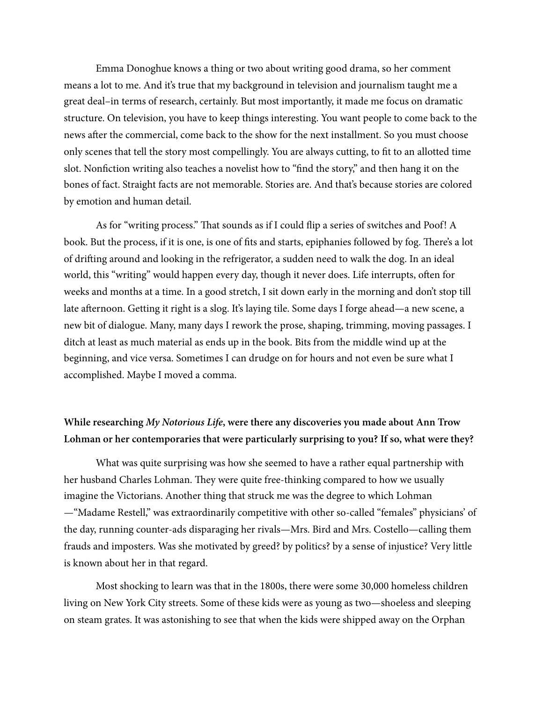Emma Donoghue knows a thing or two about writing good drama, so her comment means a lot to me. And it's true that my background in television and journalism taught me a great deal–in terms of research, certainly. But most importantly, it made me focus on dramatic structure. On television, you have to keep things interesting. You want people to come back to the news after the commercial, come back to the show for the next installment. So you must choose only scenes that tell the story most compellingly. You are always cutting, to fit to an allotted time slot. Nonfiction writing also teaches a novelist how to "find the story," and then hang it on the bones of fact. Straight facts are not memorable. Stories are. And that's because stories are colored by emotion and human detail.

As for "writing process." That sounds as if I could flip a series of switches and Poof! A book. But the process, if it is one, is one of fits and starts, epiphanies followed by fog. There's a lot of drifting around and looking in the refrigerator, a sudden need to walk the dog. In an ideal world, this "writing" would happen every day, though it never does. Life interrupts, often for weeks and months at a time. In a good stretch, I sit down early in the morning and don't stop till late afternoon. Getting it right is a slog. It's laying tile. Some days I forge ahead—a new scene, a new bit of dialogue. Many, many days I rework the prose, shaping, trimming, moving passages. I ditch at least as much material as ends up in the book. Bits from the middle wind up at the beginning, and vice versa. Sometimes I can drudge on for hours and not even be sure what I accomplished. Maybe I moved a comma.

# **While researching** *My Notorious Life***, were there any discoveries you made about Ann Trow Lohman or her contemporaries that were particularly surprising to you? If so, what were they?**

 What was quite surprising was how she seemed to have a rather equal partnership with her husband Charles Lohman. They were quite free-thinking compared to how we usually imagine the Victorians. Another thing that struck me was the degree to which Lohman —"Madame Restell," was extraordinarily competitive with other so-called "females" physicians' of the day, running counter-ads disparaging her rivals—Mrs. Bird and Mrs. Costello—calling them frauds and imposters. Was she motivated by greed? by politics? by a sense of injustice? Very little is known about her in that regard.

 Most shocking to learn was that in the 1800s, there were some 30,000 homeless children living on New York City streets. Some of these kids were as young as two—shoeless and sleeping on steam grates. It was astonishing to see that when the kids were shipped away on the Orphan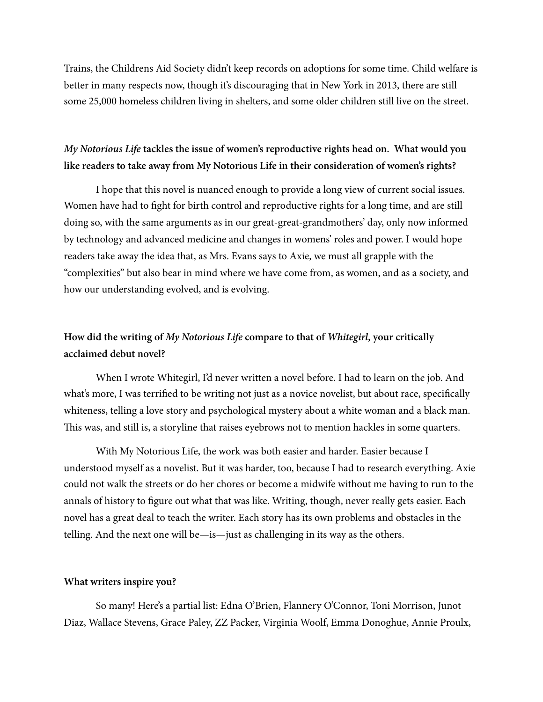Trains, the Childrens Aid Society didn't keep records on adoptions for some time. Child welfare is better in many respects now, though it's discouraging that in New York in 2013, there are still some 25,000 homeless children living in shelters, and some older children still live on the street.

### *My Notorious Life* **tackles the issue of women's reproductive rights head on. What would you like readers to take away from My Notorious Life in their consideration of women's rights?**

 I hope that this novel is nuanced enough to provide a long view of current social issues. Women have had to fight for birth control and reproductive rights for a long time, and are still doing so, with the same arguments as in our great-great-grandmothers' day, only now informed by technology and advanced medicine and changes in womens' roles and power. I would hope readers take away the idea that, as Mrs. Evans says to Axie, we must all grapple with the "complexities" but also bear in mind where we have come from, as women, and as a society, and how our understanding evolved, and is evolving.

# **How did the writing of** *My Notorious Life* **compare to that of** *Whitegirl***, your critically acclaimed debut novel?**

 When I wrote Whitegirl, I'd never written a novel before. I had to learn on the job. And what's more, I was terrified to be writing not just as a novice novelist, but about race, specifically whiteness, telling a love story and psychological mystery about a white woman and a black man. This was, and still is, a storyline that raises eyebrows not to mention hackles in some quarters.

 With My Notorious Life, the work was both easier and harder. Easier because I understood myself as a novelist. But it was harder, too, because I had to research everything. Axie could not walk the streets or do her chores or become a midwife without me having to run to the annals of history to figure out what that was like. Writing, though, never really gets easier. Each novel has a great deal to teach the writer. Each story has its own problems and obstacles in the telling. And the next one will be—is—just as challenging in its way as the others.

#### **What writers inspire you?**

 So many! Here's a partial list: Edna O'Brien, Flannery O'Connor, Toni Morrison, Junot Diaz, Wallace Stevens, Grace Paley, ZZ Packer, Virginia Woolf, Emma Donoghue, Annie Proulx,